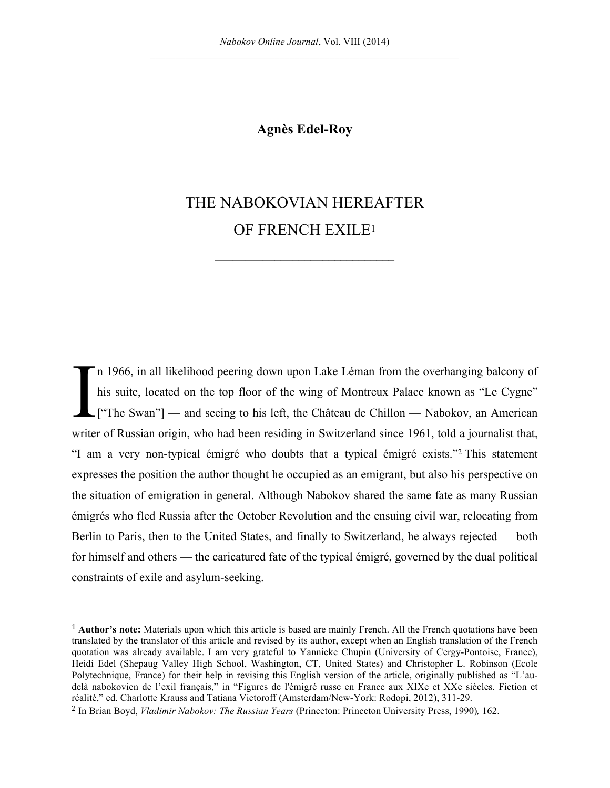## **Agnès Edel-Roy**

# THE NABOKOVIAN HEREAFTER OF FRENCH EXILE1

**\_\_\_\_\_\_\_\_\_\_\_\_\_\_\_\_\_\_\_\_\_\_\_\_\_\_\_\_\_\_**

n 1966, in all likelihood peering down upon Lake Léman from the overhanging balcony of his suite, located on the top floor of the wing of Montreux Palace known as "Le Cygne"  $\Box$  ["The Swan"] — and seeing to his left, the Château de Chillon — Nabokov, an American writer of Russian origin, who had been residing in Switzerland since 1961, told a journalist that, "I am a very non-typical émigré who doubts that a typical émigré exists."2 This statement expresses the position the author thought he occupied as an emigrant, but also his perspective on the situation of emigration in general. Although Nabokov shared the same fate as many Russian émigrés who fled Russia after the October Revolution and the ensuing civil war, relocating from Berlin to Paris, then to the United States, and finally to Switzerland, he always rejected — both for himself and others — the caricatured fate of the typical émigré, governed by the dual political constraints of exile and asylum-seeking. I

<sup>1</sup> **Author's note:** Materials upon which this article is based are mainly French. All the French quotations have been translated by the translator of this article and revised by its author, except when an English translation of the French quotation was already available. I am very grateful to Yannicke Chupin (University of Cergy-Pontoise, France), Heidi Edel (Shepaug Valley High School, Washington, CT, United States) and Christopher L. Robinson (Ecole Polytechnique, France) for their help in revising this English version of the article, originally published as "L'audelà nabokovien de l'exil français," in "Figures de l'émigré russe en France aux XIXe et XXe siècles. Fiction et réalité," ed. Charlotte Krauss and Tatiana Victoroff (Amsterdam/New-York: Rodopi, 2012), 311-29.

<sup>2</sup> In Brian Boyd, *Vladimir Nabokov: The Russian Years* (Princeton: Princeton University Press, 1990)*,* 162.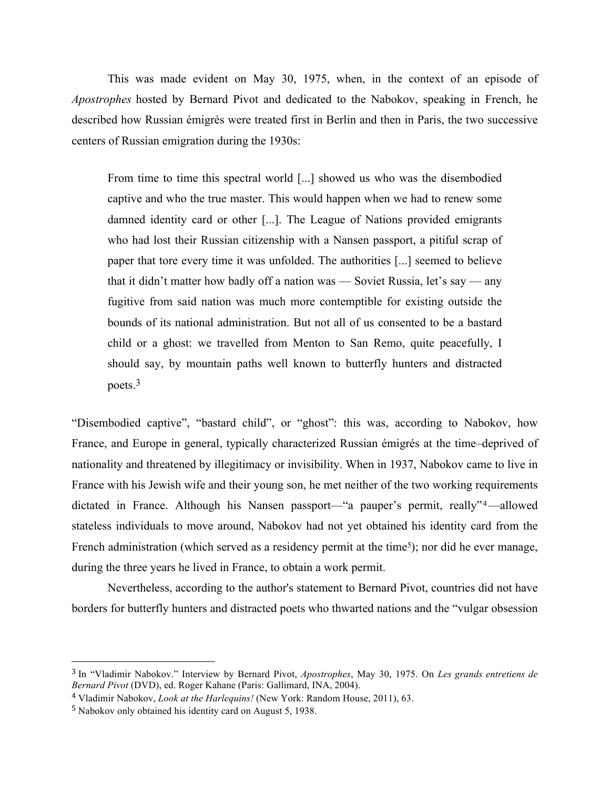This was made evident on May 30, 1975, when, in the context of an episode of *Apostrophes* hosted by Bernard Pivot and dedicated to the Nabokov, speaking in French, he described how Russian émigrés were treated first in Berlin and then in Paris, the two successive centers of Russian emigration during the 1930s:

From time to time this spectral world [...] showed us who was the disembodied captive and who the true master. This would happen when we had to renew some damned identity card or other [...]. The League of Nations provided emigrants who had lost their Russian citizenship with a Nansen passport, a pitiful scrap of paper that tore every time it was unfolded. The authorities [...] seemed to believe that it didn't matter how badly off a nation was — Soviet Russia, let's say — any fugitive from said nation was much more contemptible for existing outside the bounds of its national administration. But not all of us consented to be a bastard child or a ghost: we travelled from Menton to San Remo, quite peacefully, I should say, by mountain paths well known to butterfly hunters and distracted poets.3

"Disembodied captive", "bastard child", or "ghost": this was, according to Nabokov, how France, and Europe in general, typically characterized Russian émigrés at the time–deprived of nationality and threatened by illegitimacy or invisibility. When in 1937, Nabokov came to live in France with his Jewish wife and their young son, he met neither of the two working requirements dictated in France. Although his Nansen passport—"a pauper's permit, really"<sup>4</sup>—allowed stateless individuals to move around, Nabokov had not yet obtained his identity card from the French administration (which served as a residency permit at the time<sup>5</sup>); nor did he ever manage, during the three years he lived in France, to obtain a work permit.

Nevertheless, according to the author's statement to Bernard Pivot, countries did not have borders for butterfly hunters and distracted poets who thwarted nations and the "vulgar obsession

<sup>3</sup> In "Vladimir Nabokov." Interview by Bernard Pivot, *Apostrophes*, May 30, 1975. On *Les grands entretiens de Bernard Pivot* (DVD), ed. Roger Kahane (Paris: Gallimard, INA, 2004).

<sup>4</sup> Vladimir Nabokov, *Look at the Harlequins!* (New York: Random House, 2011), 63.

<sup>5</sup> Nabokov only obtained his identity card on August 5, 1938.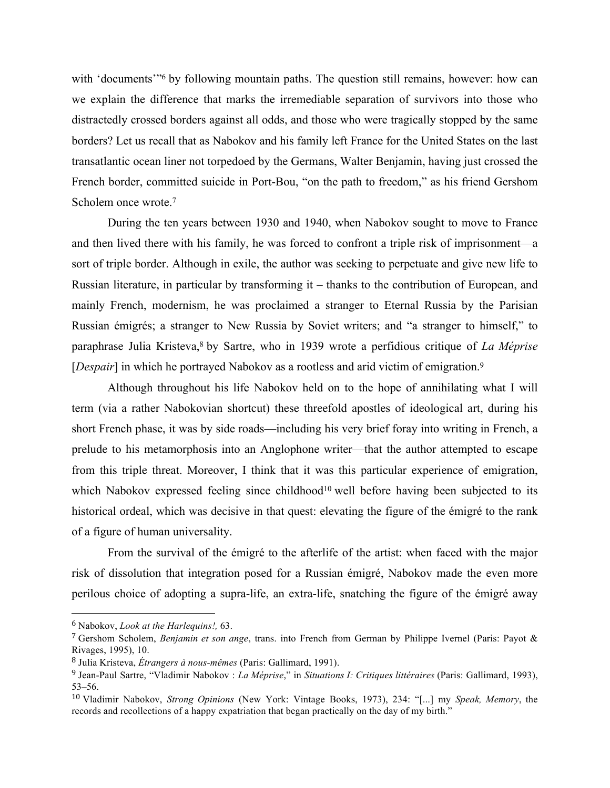with 'documents'<sup>36</sup> by following mountain paths. The question still remains, however: how can we explain the difference that marks the irremediable separation of survivors into those who distractedly crossed borders against all odds, and those who were tragically stopped by the same borders? Let us recall that as Nabokov and his family left France for the United States on the last transatlantic ocean liner not torpedoed by the Germans, Walter Benjamin, having just crossed the French border, committed suicide in Port-Bou, "on the path to freedom," as his friend Gershom Scholem once wrote.7

During the ten years between 1930 and 1940, when Nabokov sought to move to France and then lived there with his family, he was forced to confront a triple risk of imprisonment—a sort of triple border. Although in exile, the author was seeking to perpetuate and give new life to Russian literature, in particular by transforming it – thanks to the contribution of European, and mainly French, modernism, he was proclaimed a stranger to Eternal Russia by the Parisian Russian émigrés; a stranger to New Russia by Soviet writers; and "a stranger to himself," to paraphrase Julia Kristeva,8 by Sartre, who in 1939 wrote a perfidious critique of *La Méprise*  [*Despair*] in which he portrayed Nabokov as a rootless and arid victim of emigration.<sup>9</sup>

Although throughout his life Nabokov held on to the hope of annihilating what I will term (via a rather Nabokovian shortcut) these threefold apostles of ideological art, during his short French phase, it was by side roads—including his very brief foray into writing in French, a prelude to his metamorphosis into an Anglophone writer—that the author attempted to escape from this triple threat. Moreover, I think that it was this particular experience of emigration, which Nabokov expressed feeling since childhood<sup>10</sup> well before having been subjected to its historical ordeal, which was decisive in that quest: elevating the figure of the émigré to the rank of a figure of human universality.

From the survival of the émigré to the afterlife of the artist: when faced with the major risk of dissolution that integration posed for a Russian émigré, Nabokov made the even more perilous choice of adopting a supra-life, an extra-life, snatching the figure of the émigré away

<sup>6</sup> Nabokov, *Look at the Harlequins!,* 63.

<sup>7</sup> Gershom Scholem, *Benjamin et son ange*, trans. into French from German by Philippe Ivernel (Paris: Payot & Rivages, 1995), 10.

<sup>8</sup> Julia Kristeva, *Étrangers à nous-mêmes* (Paris: Gallimard, 1991).

<sup>9</sup> Jean-Paul Sartre, "Vladimir Nabokov : *La Méprise*," in *Situations I: Critiques littéraires* (Paris: Gallimard, 1993), 53–56.

<sup>10</sup> Vladimir Nabokov, *Strong Opinions* (New York: Vintage Books, 1973), 234: "[...] my *Speak, Memory*, the records and recollections of a happy expatriation that began practically on the day of my birth."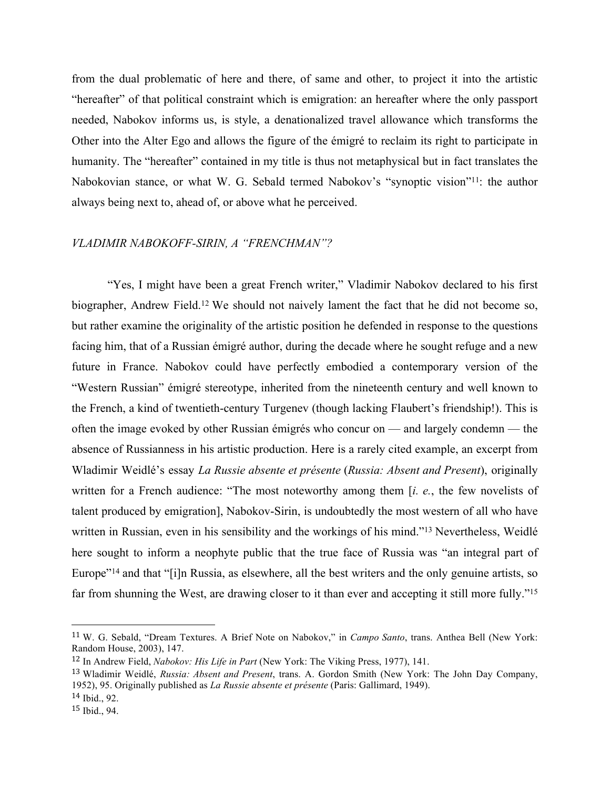from the dual problematic of here and there, of same and other, to project it into the artistic "hereafter" of that political constraint which is emigration: an hereafter where the only passport needed, Nabokov informs us, is style, a denationalized travel allowance which transforms the Other into the Alter Ego and allows the figure of the émigré to reclaim its right to participate in humanity. The "hereafter" contained in my title is thus not metaphysical but in fact translates the Nabokovian stance, or what W. G. Sebald termed Nabokov's "synoptic vision"11: the author always being next to, ahead of, or above what he perceived.

## *VLADIMIR NABOKOFF-SIRIN, A "FRENCHMAN"?*

"Yes, I might have been a great French writer," Vladimir Nabokov declared to his first biographer, Andrew Field.12 We should not naively lament the fact that he did not become so, but rather examine the originality of the artistic position he defended in response to the questions facing him, that of a Russian émigré author, during the decade where he sought refuge and a new future in France. Nabokov could have perfectly embodied a contemporary version of the "Western Russian" émigré stereotype, inherited from the nineteenth century and well known to the French, a kind of twentieth-century Turgenev (though lacking Flaubert's friendship!). This is often the image evoked by other Russian émigrés who concur on — and largely condemn — the absence of Russianness in his artistic production. Here is a rarely cited example, an excerpt from Wladimir Weidlé's essay *La Russie absente et présente* (*Russia: Absent and Present*), originally written for a French audience: "The most noteworthy among them [*i. e.*, the few novelists of talent produced by emigration], Nabokov-Sirin, is undoubtedly the most western of all who have written in Russian, even in his sensibility and the workings of his mind."<sup>13</sup> Nevertheless, Weidlé here sought to inform a neophyte public that the true face of Russia was "an integral part of Europe"<sup>14</sup> and that "[i]n Russia, as elsewhere, all the best writers and the only genuine artists, so far from shunning the West, are drawing closer to it than ever and accepting it still more fully."15

<sup>11</sup> W. G. Sebald, "Dream Textures. A Brief Note on Nabokov," in *Campo Santo*, trans. Anthea Bell (New York: Random House, 2003), 147.

<sup>12</sup> In Andrew Field, *Nabokov: His Life in Part* (New York: The Viking Press, 1977), 141.

<sup>13</sup> Wladimir Weidlé, *Russia: Absent and Present*, trans. A. Gordon Smith (New York: The John Day Company, 1952), 95. Originally published as *La Russie absente et présente* (Paris: Gallimard, 1949).

<sup>14</sup> Ibid., 92.

<sup>15</sup> Ibid., 94.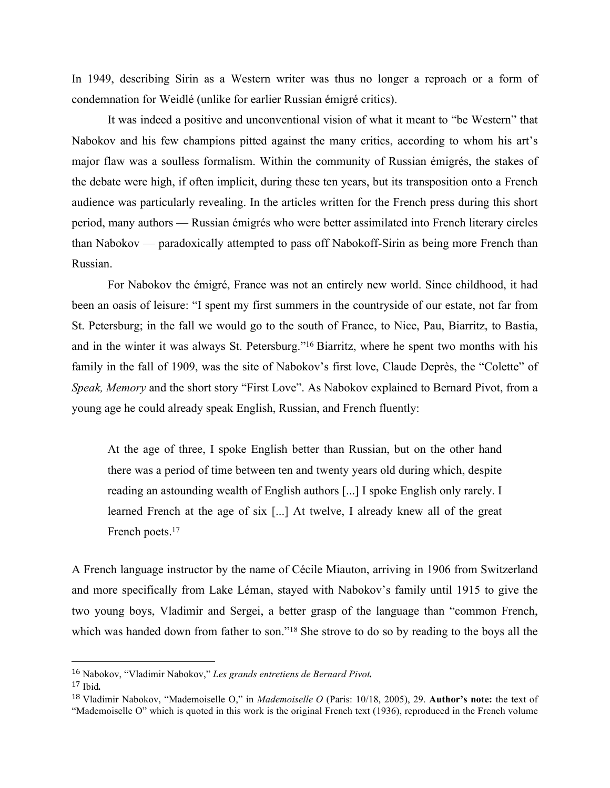In 1949, describing Sirin as a Western writer was thus no longer a reproach or a form of condemnation for Weidlé (unlike for earlier Russian émigré critics).

It was indeed a positive and unconventional vision of what it meant to "be Western" that Nabokov and his few champions pitted against the many critics, according to whom his art's major flaw was a soulless formalism. Within the community of Russian émigrés, the stakes of the debate were high, if often implicit, during these ten years, but its transposition onto a French audience was particularly revealing. In the articles written for the French press during this short period, many authors — Russian émigrés who were better assimilated into French literary circles than Nabokov — paradoxically attempted to pass off Nabokoff-Sirin as being more French than Russian.

For Nabokov the émigré, France was not an entirely new world. Since childhood, it had been an oasis of leisure: "I spent my first summers in the countryside of our estate, not far from St. Petersburg; in the fall we would go to the south of France, to Nice, Pau, Biarritz, to Bastia, and in the winter it was always St. Petersburg."16 Biarritz, where he spent two months with his family in the fall of 1909, was the site of Nabokov's first love, Claude Deprès, the "Colette" of *Speak, Memory* and the short story "First Love". As Nabokov explained to Bernard Pivot, from a young age he could already speak English, Russian, and French fluently:

At the age of three, I spoke English better than Russian, but on the other hand there was a period of time between ten and twenty years old during which, despite reading an astounding wealth of English authors [...] I spoke English only rarely. I learned French at the age of six [...] At twelve, I already knew all of the great French poets.<sup>17</sup>

A French language instructor by the name of Cécile Miauton, arriving in 1906 from Switzerland and more specifically from Lake Léman, stayed with Nabokov's family until 1915 to give the two young boys, Vladimir and Sergei, a better grasp of the language than "common French, which was handed down from father to son."<sup>18</sup> She strove to do so by reading to the boys all the

<sup>16</sup> Nabokov, "Vladimir Nabokov," *Les grands entretiens de Bernard Pivot.*

<sup>17</sup> Ibid*.*

<sup>18</sup> Vladimir Nabokov, "Mademoiselle O," in *Mademoiselle O* (Paris: 10/18, 2005), 29. **Author's note:** the text of "Mademoiselle O" which is quoted in this work is the original French text (1936), reproduced in the French volume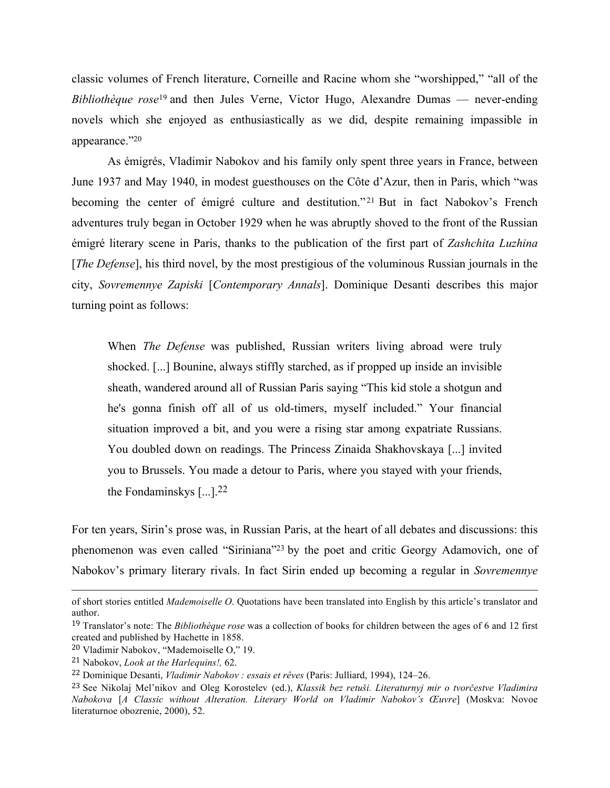classic volumes of French literature, Corneille and Racine whom she "worshipped," "all of the *Bibliothèque rose*<sup>19</sup> and then Jules Verne, Victor Hugo, Alexandre Dumas — never-ending novels which she enjoyed as enthusiastically as we did, despite remaining impassible in appearance."20

As émigrés, Vladimir Nabokov and his family only spent three years in France, between June 1937 and May 1940, in modest guesthouses on the Côte d'Azur, then in Paris, which "was becoming the center of émigré culture and destitution."<sup>21</sup> But in fact Nabokov's French adventures truly began in October 1929 when he was abruptly shoved to the front of the Russian émigré literary scene in Paris, thanks to the publication of the first part of *Zashchita Luzhina* [*The Defense*], his third novel, by the most prestigious of the voluminous Russian journals in the city, *Sovremennye Zapiski* [*Contemporary Annals*]. Dominique Desanti describes this major turning point as follows:

When *The Defense* was published, Russian writers living abroad were truly shocked. [...] Bounine, always stiffly starched, as if propped up inside an invisible sheath, wandered around all of Russian Paris saying "This kid stole a shotgun and he's gonna finish off all of us old-timers, myself included." Your financial situation improved a bit, and you were a rising star among expatriate Russians. You doubled down on readings. The Princess Zinaida Shakhovskaya [...] invited you to Brussels. You made a detour to Paris, where you stayed with your friends, the Fondaminskys  $\lceil \dots \rceil$ . 22

For ten years, Sirin's prose was, in Russian Paris, at the heart of all debates and discussions: this phenomenon was even called "Siriniana"23 by the poet and critic Georgy Adamovich, one of Nabokov's primary literary rivals. In fact Sirin ended up becoming a regular in *Sovremennye* 

<u> 1989 - Andrea San Andrea San Andrea San Andrea San Andrea San Andrea San Andrea San Andrea San Andrea San An</u>

of short stories entitled *Mademoiselle O*. Quotations have been translated into English by this article's translator and author.

<sup>19</sup> Translator's note: The *Bibliothèque rose* was a collection of books for children between the ages of 6 and 12 first created and published by Hachette in 1858.

<sup>20</sup> Vladimir Nabokov, "Mademoiselle O," 19.

<sup>21</sup> Nabokov, *Look at the Harlequins!,* 62.

<sup>22</sup> Dominique Desanti, *Vladimir Nabokov : essais et rêves* (Paris: Julliard, 1994), 124–26.

<sup>23</sup> See Nikolaj Mel'nikov and Oleg Korostelev (ed.), *Klassik bez retuši. Literaturnyj mir o tvorčestve Vladimira Nabokova* [*A Classic without Alteration. Literary World on Vladimir Nabokov's Œuvre*] (Moskva: Novoe literaturnoe obozrenie, 2000), 52.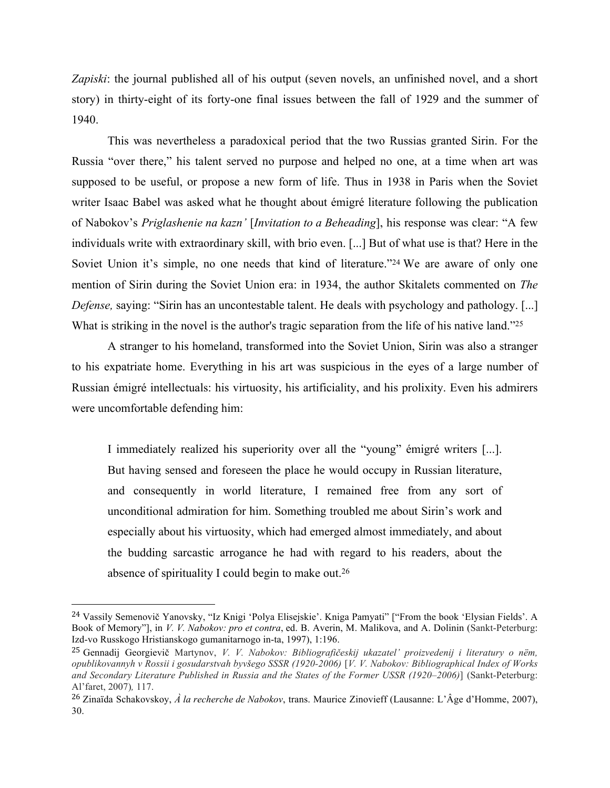*Zapiski*: the journal published all of his output (seven novels, an unfinished novel, and a short story) in thirty-eight of its forty-one final issues between the fall of 1929 and the summer of 1940.

This was nevertheless a paradoxical period that the two Russias granted Sirin. For the Russia "over there," his talent served no purpose and helped no one, at a time when art was supposed to be useful, or propose a new form of life. Thus in 1938 in Paris when the Soviet writer Isaac Babel was asked what he thought about émigré literature following the publication of Nabokov's *Priglashenie na kazn'* [*Invitation to a Beheading*], his response was clear: "A few individuals write with extraordinary skill, with brio even. [...] But of what use is that? Here in the Soviet Union it's simple, no one needs that kind of literature."<sup>24</sup> We are aware of only one mention of Sirin during the Soviet Union era: in 1934, the author Skitalets commented on *The Defense*, saying: "Sirin has an uncontestable talent. He deals with psychology and pathology. [...] What is striking in the novel is the author's tragic separation from the life of his native land."25

A stranger to his homeland, transformed into the Soviet Union, Sirin was also a stranger to his expatriate home. Everything in his art was suspicious in the eyes of a large number of Russian émigré intellectuals: his virtuosity, his artificiality, and his prolixity. Even his admirers were uncomfortable defending him:

I immediately realized his superiority over all the "young" émigré writers [...]. But having sensed and foreseen the place he would occupy in Russian literature, and consequently in world literature, I remained free from any sort of unconditional admiration for him. Something troubled me about Sirin's work and especially about his virtuosity, which had emerged almost immediately, and about the budding sarcastic arrogance he had with regard to his readers, about the absence of spirituality I could begin to make out.26

<sup>24</sup> Vassily Semenovič Yanovsky, "Iz Knigi 'Polya Elisejskie'. Kniga Pamyati" ["From the book 'Elysian Fields'. A Book of Memory"], in *V. V. Nabokov: pro et contra*, ed. B. Averin, M. Malikova, and A. Dolinin (Sankt-Peterburg: Izd-vo Russkogo Hristianskogo gumanitarnogo in-ta, 1997), 1:196.

<sup>25</sup> Gennadij Georgievič Martynov, *V. V. Nabokov: Bibliografičeskij ukazatel' proizvedenij i literatury o nëm, opublikovannyh v Rossii i gosudarstvah byvšego SSSR (1920-2006)* [*V. V. Nabokov: Bibliographical Index of Works and Secondary Literature Published in Russia and the States of the Former USSR (1920–2006)*] (Sankt-Peterburg: Al'faret, 2007)*,* 117.

<sup>26</sup> Zinaïda Schakovskoy, *À la recherche de Nabokov*, trans. Maurice Zinovieff (Lausanne: L'Âge d'Homme, 2007), 30.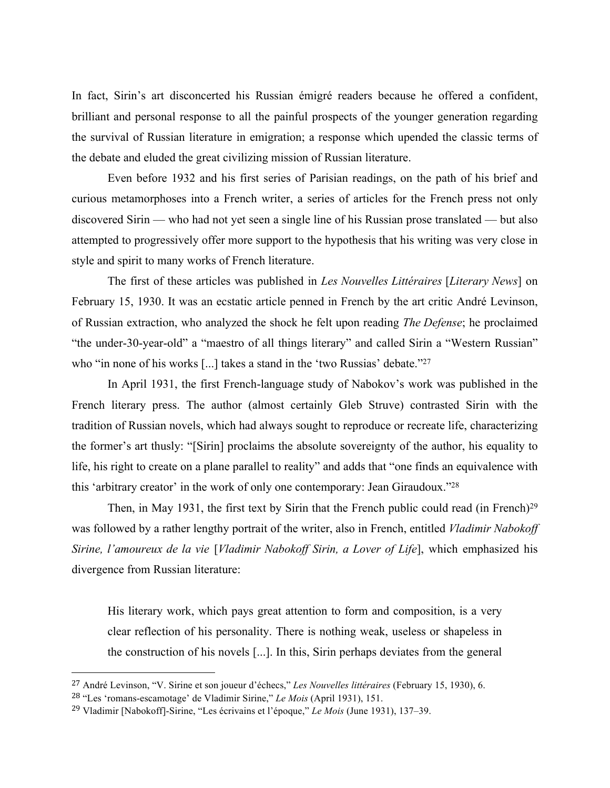In fact, Sirin's art disconcerted his Russian émigré readers because he offered a confident, brilliant and personal response to all the painful prospects of the younger generation regarding the survival of Russian literature in emigration; a response which upended the classic terms of the debate and eluded the great civilizing mission of Russian literature.

Even before 1932 and his first series of Parisian readings, on the path of his brief and curious metamorphoses into a French writer, a series of articles for the French press not only discovered Sirin — who had not yet seen a single line of his Russian prose translated — but also attempted to progressively offer more support to the hypothesis that his writing was very close in style and spirit to many works of French literature.

The first of these articles was published in *Les Nouvelles Littéraires* [*Literary News*] on February 15, 1930. It was an ecstatic article penned in French by the art critic André Levinson, of Russian extraction, who analyzed the shock he felt upon reading *The Defense*; he proclaimed "the under-30-year-old" a "maestro of all things literary" and called Sirin a "Western Russian" who "in none of his works [...] takes a stand in the 'two Russias' debate."<sup>27</sup>

In April 1931, the first French-language study of Nabokov's work was published in the French literary press. The author (almost certainly Gleb Struve) contrasted Sirin with the tradition of Russian novels, which had always sought to reproduce or recreate life, characterizing the former's art thusly: "[Sirin] proclaims the absolute sovereignty of the author, his equality to life, his right to create on a plane parallel to reality" and adds that "one finds an equivalence with this 'arbitrary creator' in the work of only one contemporary: Jean Giraudoux."28

Then, in May 1931, the first text by Sirin that the French public could read (in French)<sup>29</sup> was followed by a rather lengthy portrait of the writer, also in French, entitled *Vladimir Nabokoff Sirine, l'amoureux de la vie* [*Vladimir Nabokoff Sirin, a Lover of Life*], which emphasized his divergence from Russian literature:

His literary work, which pays great attention to form and composition, is a very clear reflection of his personality. There is nothing weak, useless or shapeless in the construction of his novels [...]. In this, Sirin perhaps deviates from the general

<sup>27</sup> André Levinson, "V. Sirine et son joueur d'échecs," *Les Nouvelles littéraires* (February 15, 1930), 6.

<sup>28</sup> "Les 'romans-escamotage' de Vladimir Sirine," *Le Mois* (April 1931), 151.

<sup>29</sup> Vladimir [Nabokoff]-Sirine, "Les écrivains et l'époque," *Le Mois* (June 1931), 137–39.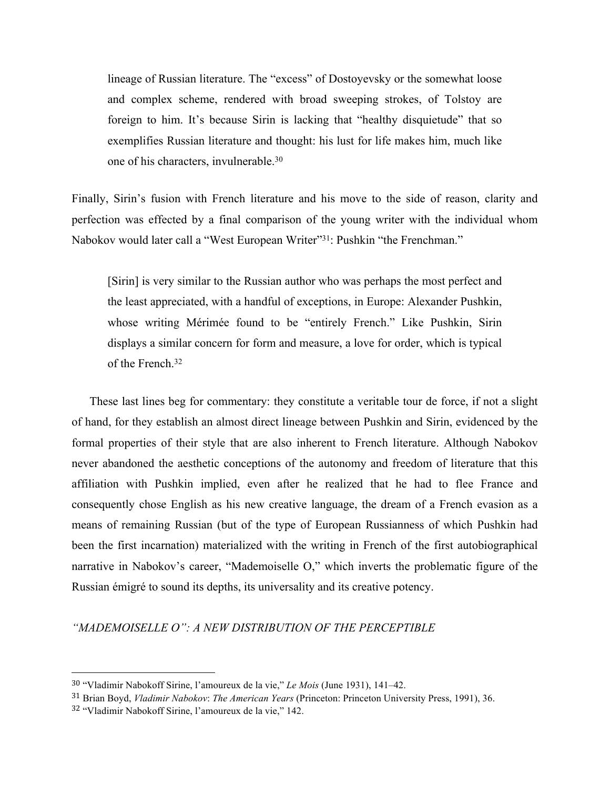lineage of Russian literature. The "excess" of Dostoyevsky or the somewhat loose and complex scheme, rendered with broad sweeping strokes, of Tolstoy are foreign to him. It's because Sirin is lacking that "healthy disquietude" that so exemplifies Russian literature and thought: his lust for life makes him, much like one of his characters, invulnerable.30

Finally, Sirin's fusion with French literature and his move to the side of reason, clarity and perfection was effected by a final comparison of the young writer with the individual whom Nabokov would later call a "West European Writer"31: Pushkin "the Frenchman."

[Sirin] is very similar to the Russian author who was perhaps the most perfect and the least appreciated, with a handful of exceptions, in Europe: Alexander Pushkin, whose writing Mérimée found to be "entirely French." Like Pushkin, Sirin displays a similar concern for form and measure, a love for order, which is typical of the French<sup>32</sup>

These last lines beg for commentary: they constitute a veritable tour de force, if not a slight of hand, for they establish an almost direct lineage between Pushkin and Sirin, evidenced by the formal properties of their style that are also inherent to French literature. Although Nabokov never abandoned the aesthetic conceptions of the autonomy and freedom of literature that this affiliation with Pushkin implied, even after he realized that he had to flee France and consequently chose English as his new creative language, the dream of a French evasion as a means of remaining Russian (but of the type of European Russianness of which Pushkin had been the first incarnation) materialized with the writing in French of the first autobiographical narrative in Nabokov's career, "Mademoiselle O," which inverts the problematic figure of the Russian émigré to sound its depths, its universality and its creative potency.

### *"MADEMOISELLE O": A NEW DISTRIBUTION OF THE PERCEPTIBLE*

<sup>30</sup> "Vladimir Nabokoff Sirine, l'amoureux de la vie," *Le Mois* (June 1931), 141–42.

<sup>31</sup> Brian Boyd, *Vladimir Nabokov*: *The American Years* (Princeton: Princeton University Press, 1991), 36.

<sup>32</sup> "Vladimir Nabokoff Sirine, l'amoureux de la vie," 142.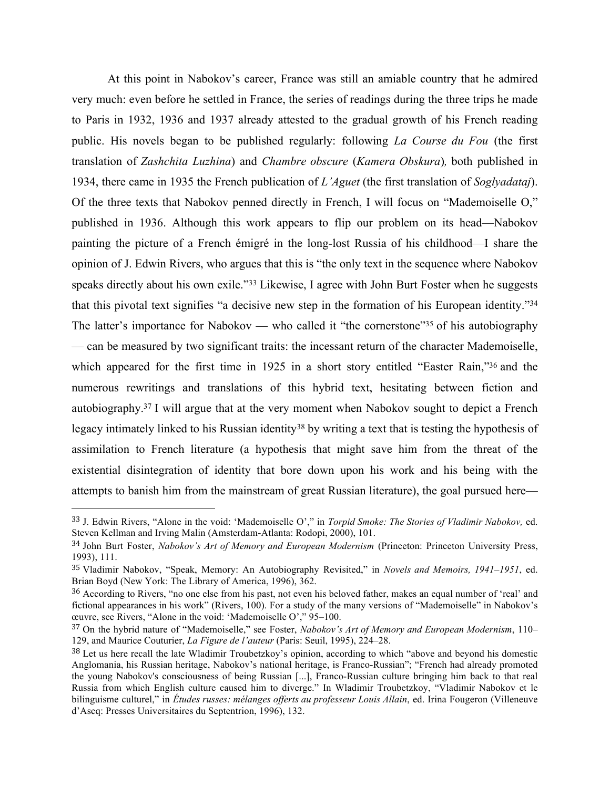At this point in Nabokov's career, France was still an amiable country that he admired very much: even before he settled in France, the series of readings during the three trips he made to Paris in 1932, 1936 and 1937 already attested to the gradual growth of his French reading public. His novels began to be published regularly: following *La Course du Fou* (the first translation of *Zashchita Luzhina*) and *Chambre obscure* (*Kamera Obskura*)*,* both published in 1934, there came in 1935 the French publication of *L'Aguet* (the first translation of *Soglyadataj*). Of the three texts that Nabokov penned directly in French, I will focus on "Mademoiselle O," published in 1936. Although this work appears to flip our problem on its head—Nabokov painting the picture of a French émigré in the long-lost Russia of his childhood—I share the opinion of J. Edwin Rivers, who argues that this is "the only text in the sequence where Nabokov speaks directly about his own exile."33 Likewise, I agree with John Burt Foster when he suggests that this pivotal text signifies "a decisive new step in the formation of his European identity."34 The latter's importance for Nabokov — who called it "the cornerstone"<sup>35</sup> of his autobiography — can be measured by two significant traits: the incessant return of the character Mademoiselle, which appeared for the first time in 1925 in a short story entitled "Easter Rain,"36 and the numerous rewritings and translations of this hybrid text, hesitating between fiction and autobiography.37 I will argue that at the very moment when Nabokov sought to depict a French legacy intimately linked to his Russian identity<sup>38</sup> by writing a text that is testing the hypothesis of assimilation to French literature (a hypothesis that might save him from the threat of the existential disintegration of identity that bore down upon his work and his being with the attempts to banish him from the mainstream of great Russian literature), the goal pursued here—

<sup>33</sup> J. Edwin Rivers, "Alone in the void: 'Mademoiselle O'," in *Torpid Smoke: The Stories of Vladimir Nabokov,* ed. Steven Kellman and Irving Malin (Amsterdam-Atlanta: Rodopi, 2000), 101.

<sup>34</sup> John Burt Foster, *Nabokov's Art of Memory and European Modernism* (Princeton: Princeton University Press, 1993), 111.

<sup>35</sup> Vladimir Nabokov, "Speak, Memory: An Autobiography Revisited," in *Novels and Memoirs, 1941–1951*, ed. Brian Boyd (New York: The Library of America, 1996), 362.

<sup>36</sup> According to Rivers, "no one else from his past, not even his beloved father, makes an equal number of 'real' and fictional appearances in his work" (Rivers, 100). For a study of the many versions of "Mademoiselle" in Nabokov's œuvre, see Rivers, "Alone in the void: 'Mademoiselle O'," 95–100.

<sup>37</sup> On the hybrid nature of "Mademoiselle," see Foster, *Nabokov's Art of Memory and European Modernism*, 110– 129, and Maurice Couturier, *La Figure de l'auteur* (Paris: Seuil, 1995), 224–28.

<sup>38</sup> Let us here recall the late Wladimir Troubetzkoy's opinion, according to which "above and beyond his domestic Anglomania, his Russian heritage, Nabokov's national heritage, is Franco-Russian"; "French had already promoted the young Nabokov's consciousness of being Russian [...], Franco-Russian culture bringing him back to that real Russia from which English culture caused him to diverge." In Wladimir Troubetzkoy, "Vladimir Nabokov et le bilinguisme culturel," in *Études russes: mélanges offerts au professeur Louis Allain*, ed. Irina Fougeron (Villeneuve d'Ascq: Presses Universitaires du Septentrion, 1996), 132.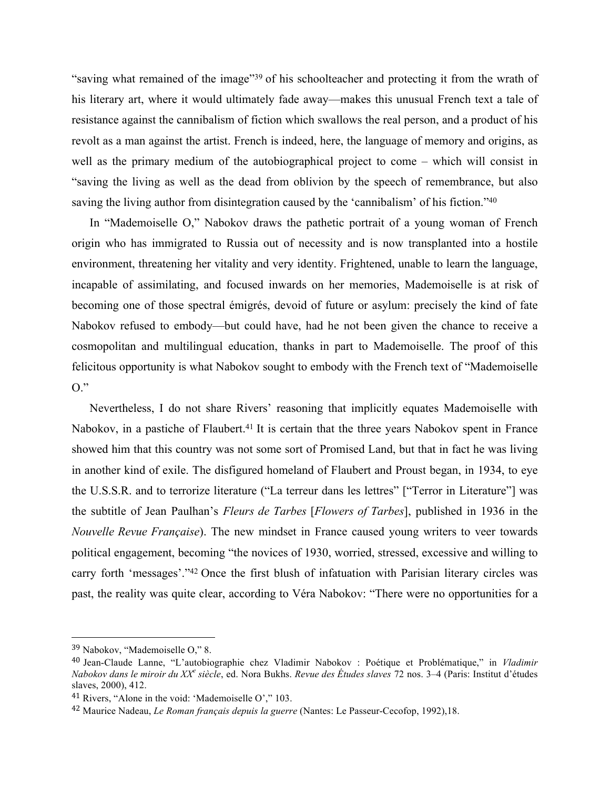"saving what remained of the image"39 of his schoolteacher and protecting it from the wrath of his literary art, where it would ultimately fade away—makes this unusual French text a tale of resistance against the cannibalism of fiction which swallows the real person, and a product of his revolt as a man against the artist. French is indeed, here, the language of memory and origins, as well as the primary medium of the autobiographical project to come – which will consist in "saving the living as well as the dead from oblivion by the speech of remembrance, but also saving the living author from disintegration caused by the 'cannibalism' of his fiction."<sup>40</sup>

In "Mademoiselle O," Nabokov draws the pathetic portrait of a young woman of French origin who has immigrated to Russia out of necessity and is now transplanted into a hostile environment, threatening her vitality and very identity. Frightened, unable to learn the language, incapable of assimilating, and focused inwards on her memories, Mademoiselle is at risk of becoming one of those spectral émigrés, devoid of future or asylum: precisely the kind of fate Nabokov refused to embody—but could have, had he not been given the chance to receive a cosmopolitan and multilingual education, thanks in part to Mademoiselle. The proof of this felicitous opportunity is what Nabokov sought to embody with the French text of "Mademoiselle  $O$ ."

Nevertheless, I do not share Rivers' reasoning that implicitly equates Mademoiselle with Nabokov, in a pastiche of Flaubert.<sup>41</sup> It is certain that the three years Nabokov spent in France showed him that this country was not some sort of Promised Land, but that in fact he was living in another kind of exile. The disfigured homeland of Flaubert and Proust began, in 1934, to eye the U.S.S.R. and to terrorize literature ("La terreur dans les lettres" ["Terror in Literature"] was the subtitle of Jean Paulhan's *Fleurs de Tarbes* [*Flowers of Tarbes*], published in 1936 in the *Nouvelle Revue Française*). The new mindset in France caused young writers to veer towards political engagement, becoming "the novices of 1930, worried, stressed, excessive and willing to carry forth 'messages'."42 Once the first blush of infatuation with Parisian literary circles was past, the reality was quite clear, according to Véra Nabokov: "There were no opportunities for a

 <sup>39</sup> Nabokov, "Mademoiselle O," 8.

<sup>40</sup> Jean-Claude Lanne, "L'autobiographie chez Vladimir Nabokov : Poétique et Problématique," in *Vladimir Nabokov dans le miroir du XX<sup>e</sup> siècle*, ed. Nora Bukhs. *Revue des Études slaves* 72 nos. 3–4 (Paris: Institut d'études slaves, 2000), 412.

<sup>41</sup> Rivers, "Alone in the void: 'Mademoiselle O'," 103.

<sup>42</sup> Maurice Nadeau, *Le Roman français depuis la guerre* (Nantes: Le Passeur-Cecofop, 1992),18.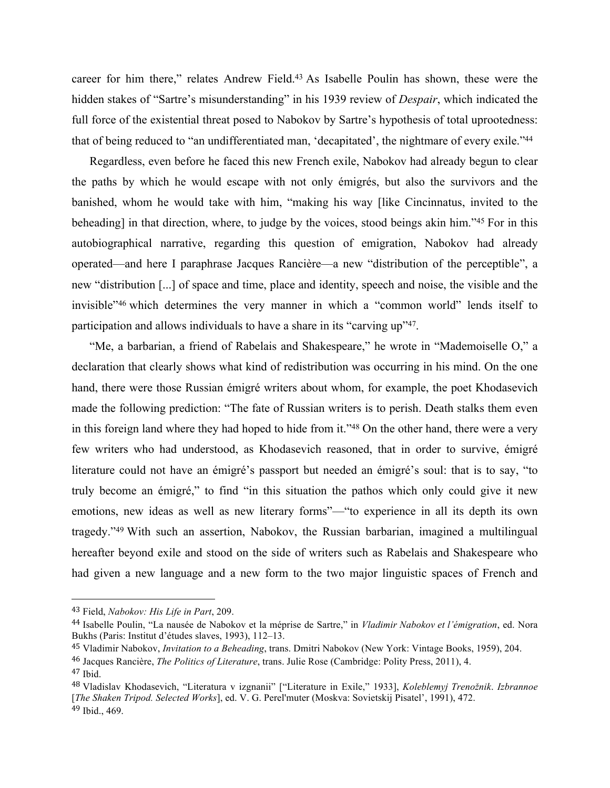career for him there," relates Andrew Field.43 As Isabelle Poulin has shown, these were the hidden stakes of "Sartre's misunderstanding" in his 1939 review of *Despair*, which indicated the full force of the existential threat posed to Nabokov by Sartre's hypothesis of total uprootedness: that of being reduced to "an undifferentiated man, 'decapitated', the nightmare of every exile."44

Regardless, even before he faced this new French exile, Nabokov had already begun to clear the paths by which he would escape with not only émigrés, but also the survivors and the banished, whom he would take with him, "making his way [like Cincinnatus, invited to the beheading] in that direction, where, to judge by the voices, stood beings akin him."45 For in this autobiographical narrative, regarding this question of emigration, Nabokov had already operated—and here I paraphrase Jacques Rancière—a new "distribution of the perceptible", a new "distribution [...] of space and time, place and identity, speech and noise, the visible and the invisible"46 which determines the very manner in which a "common world" lends itself to participation and allows individuals to have a share in its "carving up"47.

"Me, a barbarian, a friend of Rabelais and Shakespeare," he wrote in "Mademoiselle O," a declaration that clearly shows what kind of redistribution was occurring in his mind. On the one hand, there were those Russian émigré writers about whom, for example, the poet Khodasevich made the following prediction: "The fate of Russian writers is to perish. Death stalks them even in this foreign land where they had hoped to hide from it."48 On the other hand, there were a very few writers who had understood, as Khodasevich reasoned, that in order to survive, émigré literature could not have an émigré's passport but needed an émigré's soul: that is to say, "to truly become an émigré," to find "in this situation the pathos which only could give it new emotions, new ideas as well as new literary forms"—"to experience in all its depth its own tragedy."49 With such an assertion, Nabokov, the Russian barbarian, imagined a multilingual hereafter beyond exile and stood on the side of writers such as Rabelais and Shakespeare who had given a new language and a new form to the two major linguistic spaces of French and

<sup>43</sup> Field, *Nabokov: His Life in Part*, 209.

<sup>44</sup> Isabelle Poulin, "La nausée de Nabokov et la méprise de Sartre," in *Vladimir Nabokov et l'émigration*, ed. Nora Bukhs (Paris: Institut d'études slaves, 1993), 112–13.

<sup>45</sup> Vladimir Nabokov, *Invitation to a Beheading*, trans. Dmitri Nabokov (New York: Vintage Books, 1959), 204.

<sup>46</sup> Jacques Rancière, *The Politics of Literature*, trans. Julie Rose (Cambridge: Polity Press, 2011), 4.

 $47$  Ibid.

<sup>48</sup> Vladislav Khodasevich, "Literatura v izgnanii" ["Literature in Exile," 1933], *Koleblemyj Trenožnik*. *Izbrannoe* [*The Shaken Tripod. Selected Works*], ed. V. G. Perel'muter (Moskva: Sovietskij Pisatel', 1991), 472. <sup>49</sup> Ibid., 469.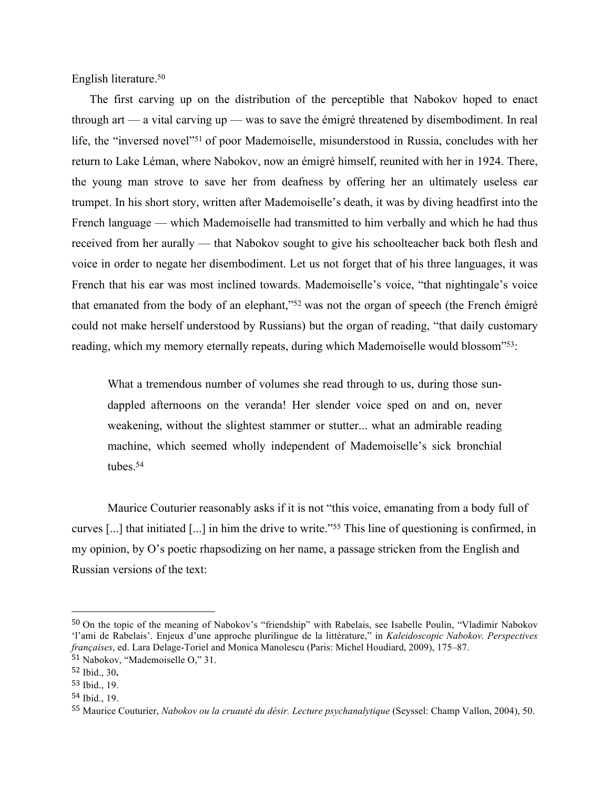English literature.50

The first carving up on the distribution of the perceptible that Nabokov hoped to enact through art — a vital carving up — was to save the émigré threatened by disembodiment. In real life, the "inversed novel"51 of poor Mademoiselle, misunderstood in Russia, concludes with her return to Lake Léman, where Nabokov, now an émigré himself, reunited with her in 1924. There, the young man strove to save her from deafness by offering her an ultimately useless ear trumpet. In his short story, written after Mademoiselle's death, it was by diving headfirst into the French language — which Mademoiselle had transmitted to him verbally and which he had thus received from her aurally — that Nabokov sought to give his schoolteacher back both flesh and voice in order to negate her disembodiment. Let us not forget that of his three languages, it was French that his ear was most inclined towards. Mademoiselle's voice, "that nightingale's voice that emanated from the body of an elephant,"52 was not the organ of speech (the French émigré could not make herself understood by Russians) but the organ of reading, "that daily customary reading, which my memory eternally repeats, during which Mademoiselle would blossom"53:

What a tremendous number of volumes she read through to us, during those sundappled afternoons on the veranda! Her slender voice sped on and on, never weakening, without the slightest stammer or stutter... what an admirable reading machine, which seemed wholly independent of Mademoiselle's sick bronchial tubes.54

Maurice Couturier reasonably asks if it is not "this voice, emanating from a body full of curves [...] that initiated [...] in him the drive to write."55 This line of questioning is confirmed, in my opinion, by O's poetic rhapsodizing on her name, a passage stricken from the English and Russian versions of the text:

<sup>50</sup> On the topic of the meaning of Nabokov's "friendship" with Rabelais, see Isabelle Poulin, "Vladimir Nabokov 'l'ami de Rabelais'. Enjeux d'une approche plurilingue de la littérature," in *Kaleidoscopic Nabokov. Perspectives françaises*, ed. Lara Delage-Toriel and Monica Manolescu (Paris: Michel Houdiard, 2009), 175–87.

<sup>51</sup> Nabokov, "Mademoiselle O," 31.

<sup>52</sup> Ibid., 30**.**

<sup>53</sup> Ibid., 19.

<sup>54</sup> Ibid., 19.

<sup>55</sup> Maurice Couturier, *Nabokov ou la cruauté du désir. Lecture psychanalytique* (Seyssel: Champ Vallon, 2004), 50.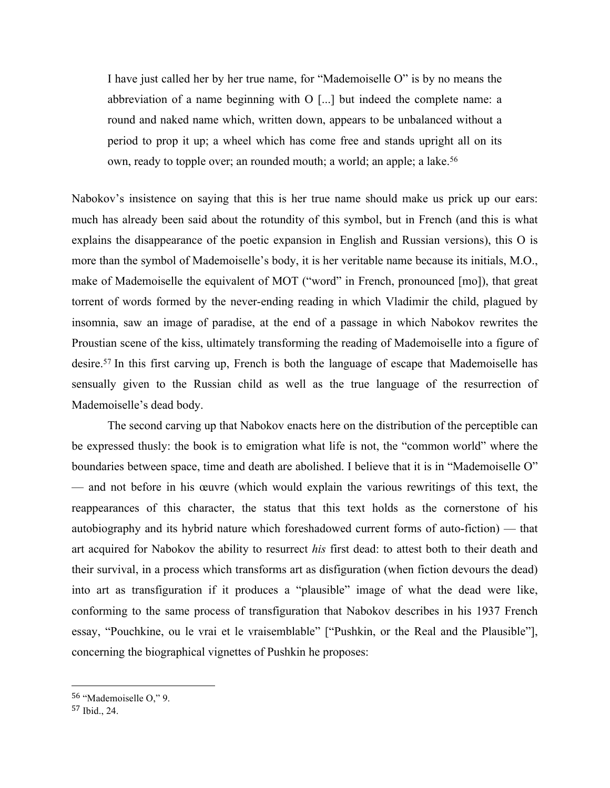I have just called her by her true name, for "Mademoiselle O" is by no means the abbreviation of a name beginning with O [...] but indeed the complete name: a round and naked name which, written down, appears to be unbalanced without a period to prop it up; a wheel which has come free and stands upright all on its own, ready to topple over; an rounded mouth; a world; an apple; a lake.<sup>56</sup>

Nabokov's insistence on saying that this is her true name should make us prick up our ears: much has already been said about the rotundity of this symbol, but in French (and this is what explains the disappearance of the poetic expansion in English and Russian versions), this O is more than the symbol of Mademoiselle's body, it is her veritable name because its initials, M.O., make of Mademoiselle the equivalent of MOT ("word" in French, pronounced [mo]), that great torrent of words formed by the never-ending reading in which Vladimir the child, plagued by insomnia, saw an image of paradise, at the end of a passage in which Nabokov rewrites the Proustian scene of the kiss, ultimately transforming the reading of Mademoiselle into a figure of desire.57 In this first carving up, French is both the language of escape that Mademoiselle has sensually given to the Russian child as well as the true language of the resurrection of Mademoiselle's dead body.

The second carving up that Nabokov enacts here on the distribution of the perceptible can be expressed thusly: the book is to emigration what life is not, the "common world" where the boundaries between space, time and death are abolished. I believe that it is in "Mademoiselle O" — and not before in his œuvre (which would explain the various rewritings of this text, the reappearances of this character, the status that this text holds as the cornerstone of his autobiography and its hybrid nature which foreshadowed current forms of auto-fiction) — that art acquired for Nabokov the ability to resurrect *his* first dead: to attest both to their death and their survival, in a process which transforms art as disfiguration (when fiction devours the dead) into art as transfiguration if it produces a "plausible" image of what the dead were like, conforming to the same process of transfiguration that Nabokov describes in his 1937 French essay, "Pouchkine, ou le vrai et le vraisemblable" ["Pushkin, or the Real and the Plausible"], concerning the biographical vignettes of Pushkin he proposes:

<sup>56</sup> "Mademoiselle O," 9.

<sup>57</sup> Ibid., 24.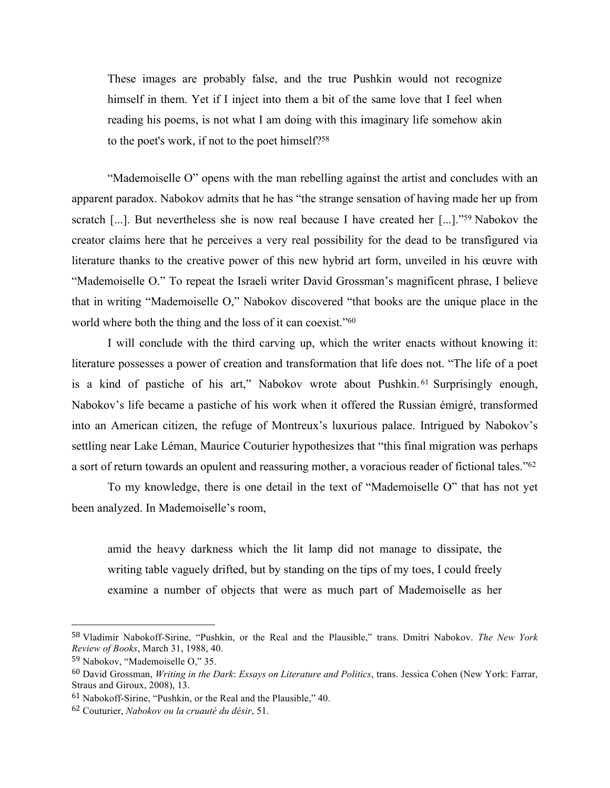These images are probably false, and the true Pushkin would not recognize himself in them. Yet if I inject into them a bit of the same love that I feel when reading his poems, is not what I am doing with this imaginary life somehow akin to the poet's work, if not to the poet himself?58

"Mademoiselle O" opens with the man rebelling against the artist and concludes with an apparent paradox. Nabokov admits that he has "the strange sensation of having made her up from scratch [...]. But nevertheless she is now real because I have created her [...]."59 Nabokov the creator claims here that he perceives a very real possibility for the dead to be transfigured via literature thanks to the creative power of this new hybrid art form, unveiled in his œuvre with "Mademoiselle O." To repeat the Israeli writer David Grossman's magnificent phrase, I believe that in writing "Mademoiselle O," Nabokov discovered "that books are the unique place in the world where both the thing and the loss of it can coexist."60

I will conclude with the third carving up, which the writer enacts without knowing it: literature possesses a power of creation and transformation that life does not. "The life of a poet is a kind of pastiche of his art," Nabokov wrote about Pushkin. <sup>61</sup> Surprisingly enough, Nabokov's life became a pastiche of his work when it offered the Russian émigré, transformed into an American citizen, the refuge of Montreux's luxurious palace. Intrigued by Nabokov's settling near Lake Léman, Maurice Couturier hypothesizes that "this final migration was perhaps a sort of return towards an opulent and reassuring mother, a voracious reader of fictional tales."62

To my knowledge, there is one detail in the text of "Mademoiselle O" that has not yet been analyzed. In Mademoiselle's room,

amid the heavy darkness which the lit lamp did not manage to dissipate, the writing table vaguely drifted, but by standing on the tips of my toes, I could freely examine a number of objects that were as much part of Mademoiselle as her

<sup>58</sup> Vladimir Nabokoff-Sirine, "Pushkin, or the Real and the Plausible," trans. Dmitri Nabokov. *The New York Review of Books*, March 31, 1988, 40.

<sup>59</sup> Nabokov, "Mademoiselle O," 35.

<sup>60</sup> David Grossman, *Writing in the Dark*: *Essays on Literature and Politics*, trans. Jessica Cohen (New York: Farrar, Straus and Giroux, 2008), 13.

<sup>61</sup> Nabokoff-Sirine, "Pushkin, or the Real and the Plausible," 40.

<sup>62</sup> Couturier, *Nabokov ou la cruauté du désir*, 51.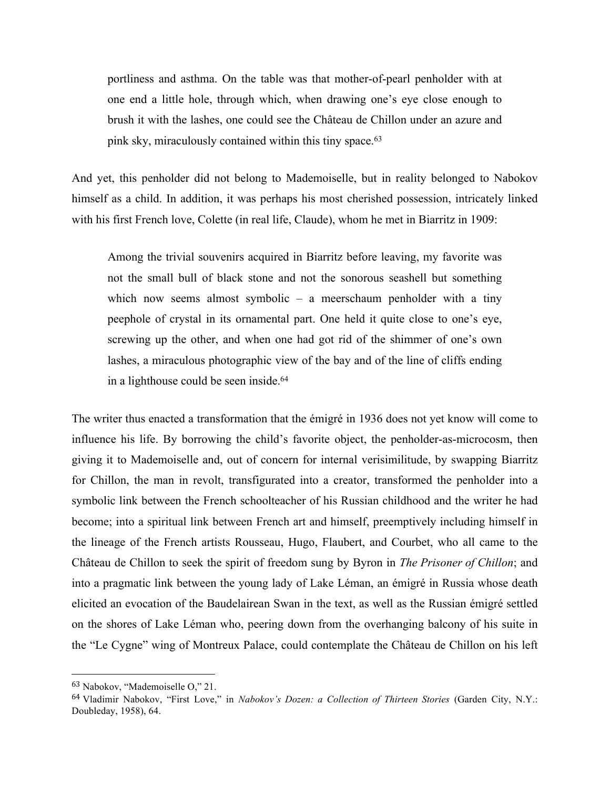portliness and asthma. On the table was that mother-of-pearl penholder with at one end a little hole, through which, when drawing one's eye close enough to brush it with the lashes, one could see the Château de Chillon under an azure and pink sky, miraculously contained within this tiny space. 63

And yet, this penholder did not belong to Mademoiselle, but in reality belonged to Nabokov himself as a child. In addition, it was perhaps his most cherished possession, intricately linked with his first French love, Colette (in real life, Claude), whom he met in Biarritz in 1909:

Among the trivial souvenirs acquired in Biarritz before leaving, my favorite was not the small bull of black stone and not the sonorous seashell but something which now seems almost symbolic – a meerschaum penholder with a tiny peephole of crystal in its ornamental part. One held it quite close to one's eye, screwing up the other, and when one had got rid of the shimmer of one's own lashes, a miraculous photographic view of the bay and of the line of cliffs ending in a lighthouse could be seen inside.<sup>64</sup>

The writer thus enacted a transformation that the émigré in 1936 does not yet know will come to influence his life. By borrowing the child's favorite object, the penholder-as-microcosm, then giving it to Mademoiselle and, out of concern for internal verisimilitude, by swapping Biarritz for Chillon, the man in revolt, transfigurated into a creator, transformed the penholder into a symbolic link between the French schoolteacher of his Russian childhood and the writer he had become; into a spiritual link between French art and himself, preemptively including himself in the lineage of the French artists Rousseau, Hugo, Flaubert, and Courbet, who all came to the Château de Chillon to seek the spirit of freedom sung by Byron in *The Prisoner of Chillon*; and into a pragmatic link between the young lady of Lake Léman, an émigré in Russia whose death elicited an evocation of the Baudelairean Swan in the text, as well as the Russian émigré settled on the shores of Lake Léman who, peering down from the overhanging balcony of his suite in the "Le Cygne" wing of Montreux Palace, could contemplate the Château de Chillon on his left

 <sup>63</sup> Nabokov, "Mademoiselle O," 21.

<sup>64</sup> Vladimir Nabokov, "First Love," in *Nabokov's Dozen: a Collection of Thirteen Stories* (Garden City, N.Y.: Doubleday, 1958), 64.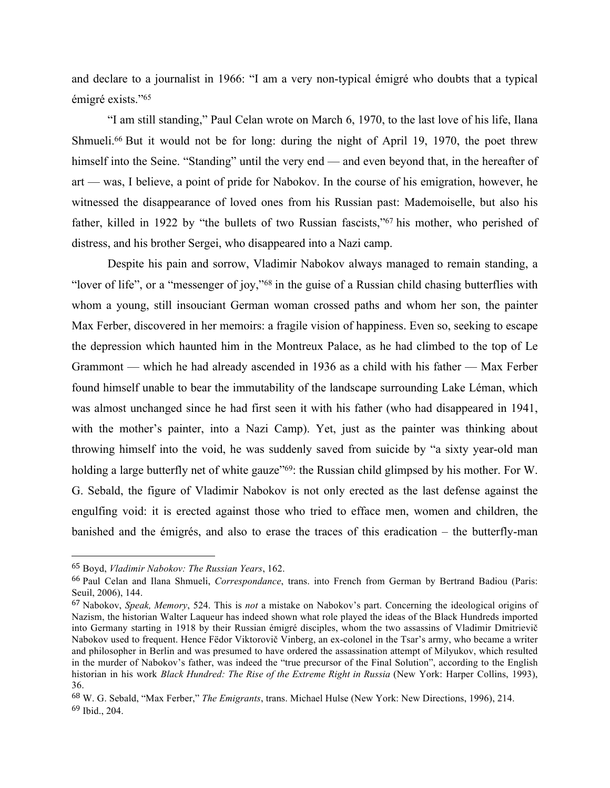and declare to a journalist in 1966: "I am a very non-typical émigré who doubts that a typical émigré exists."65

"I am still standing," Paul Celan wrote on March 6, 1970, to the last love of his life, Ilana Shmueli.<sup>66</sup> But it would not be for long: during the night of April 19, 1970, the poet threw himself into the Seine. "Standing" until the very end — and even beyond that, in the hereafter of art — was, I believe, a point of pride for Nabokov. In the course of his emigration, however, he witnessed the disappearance of loved ones from his Russian past: Mademoiselle, but also his father, killed in 1922 by "the bullets of two Russian fascists,"67 his mother, who perished of distress, and his brother Sergei, who disappeared into a Nazi camp.

Despite his pain and sorrow, Vladimir Nabokov always managed to remain standing, a "lover of life", or a "messenger of joy,"68 in the guise of a Russian child chasing butterflies with whom a young, still insouciant German woman crossed paths and whom her son, the painter Max Ferber, discovered in her memoirs: a fragile vision of happiness. Even so, seeking to escape the depression which haunted him in the Montreux Palace, as he had climbed to the top of Le Grammont — which he had already ascended in 1936 as a child with his father — Max Ferber found himself unable to bear the immutability of the landscape surrounding Lake Léman, which was almost unchanged since he had first seen it with his father (who had disappeared in 1941, with the mother's painter, into a Nazi Camp). Yet, just as the painter was thinking about throwing himself into the void, he was suddenly saved from suicide by "a sixty year-old man holding a large butterfly net of white gauze<sup>"69</sup>: the Russian child glimpsed by his mother. For W. G. Sebald, the figure of Vladimir Nabokov is not only erected as the last defense against the engulfing void: it is erected against those who tried to efface men, women and children, the banished and the émigrés, and also to erase the traces of this eradication – the butterfly-man

<sup>65</sup> Boyd, *Vladimir Nabokov: The Russian Years*, 162.

<sup>66</sup> Paul Celan and Ilana Shmueli, *Correspondance*, trans. into French from German by Bertrand Badiou (Paris: Seuil, 2006), 144.

<sup>67</sup> Nabokov, *Speak, Memory*, 524. This is *not* a mistake on Nabokov's part. Concerning the ideological origins of Nazism, the historian Walter Laqueur has indeed shown what role played the ideas of the Black Hundreds imported into Germany starting in 1918 by their Russian émigré disciples, whom the two assassins of Vladimir Dmitrievič Nabokov used to frequent. Hence Fëdor Viktorovič Vinberg, an ex-colonel in the Tsar's army, who became a writer and philosopher in Berlin and was presumed to have ordered the assassination attempt of Milyukov, which resulted in the murder of Nabokov's father, was indeed the "true precursor of the Final Solution", according to the English historian in his work *Black Hundred: The Rise of the Extreme Right in Russia* (New York: Harper Collins, 1993), 36.

<sup>68</sup> W. G. Sebald, "Max Ferber," *The Emigrants*, trans. Michael Hulse (New York: New Directions, 1996), 214. <sup>69</sup> Ibid., 204.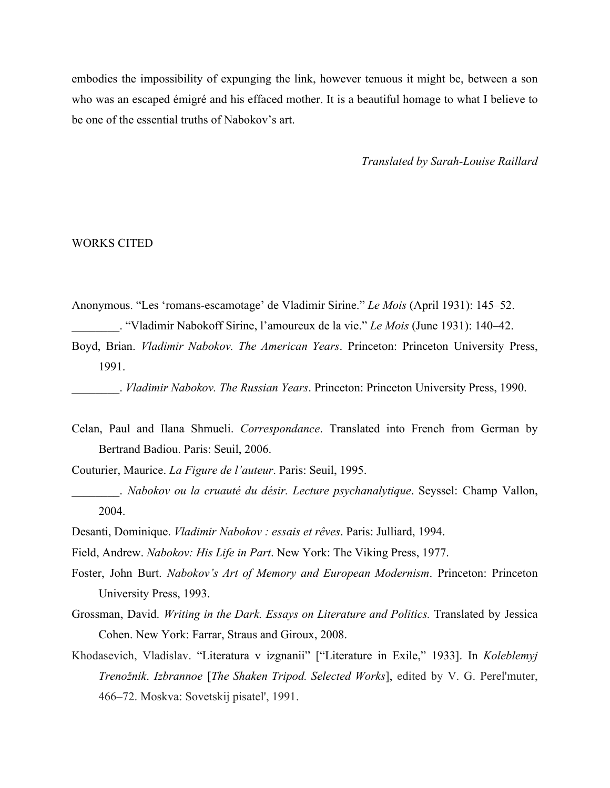embodies the impossibility of expunging the link, however tenuous it might be, between a son who was an escaped émigré and his effaced mother. It is a beautiful homage to what I believe to be one of the essential truths of Nabokov's art.

*Translated by Sarah-Louise Raillard*

### WORKS CITED

- Anonymous. "Les 'romans-escamotage' de Vladimir Sirine." *Le Mois* (April 1931): 145–52. \_\_\_\_\_\_\_\_. "Vladimir Nabokoff Sirine, l'amoureux de la vie." *Le Mois* (June 1931): 140–42.
- Boyd, Brian. *Vladimir Nabokov. The American Years*. Princeton: Princeton University Press, 1991.

\_\_\_\_\_\_\_\_. *Vladimir Nabokov. The Russian Years*. Princeton: Princeton University Press, 1990.

Celan, Paul and Ilana Shmueli. *Correspondance*. Translated into French from German by Bertrand Badiou. Paris: Seuil, 2006.

Couturier, Maurice. *La Figure de l'auteur*. Paris: Seuil, 1995.

- \_\_\_\_\_\_\_\_. *Nabokov ou la cruauté du désir. Lecture psychanalytique*. Seyssel: Champ Vallon, 2004.
- Desanti, Dominique. *Vladimir Nabokov : essais et rêves*. Paris: Julliard, 1994.

Field, Andrew. *Nabokov: His Life in Part*. New York: The Viking Press, 1977.

- Foster, John Burt. *Nabokov's Art of Memory and European Modernism*. Princeton: Princeton University Press, 1993.
- Grossman, David. *Writing in the Dark. Essays on Literature and Politics.* Translated by Jessica Cohen. New York: Farrar, Straus and Giroux, 2008.
- Khodasevich, Vladislav. "Literatura v izgnanii" ["Literature in Exile," 1933]. In *Koleblemyj Trenožnik*. *Izbrannoe* [*The Shaken Tripod. Selected Works*], edited by V. G. Perel'muter, 466–72. Moskva: Sovetskij pisatel', 1991.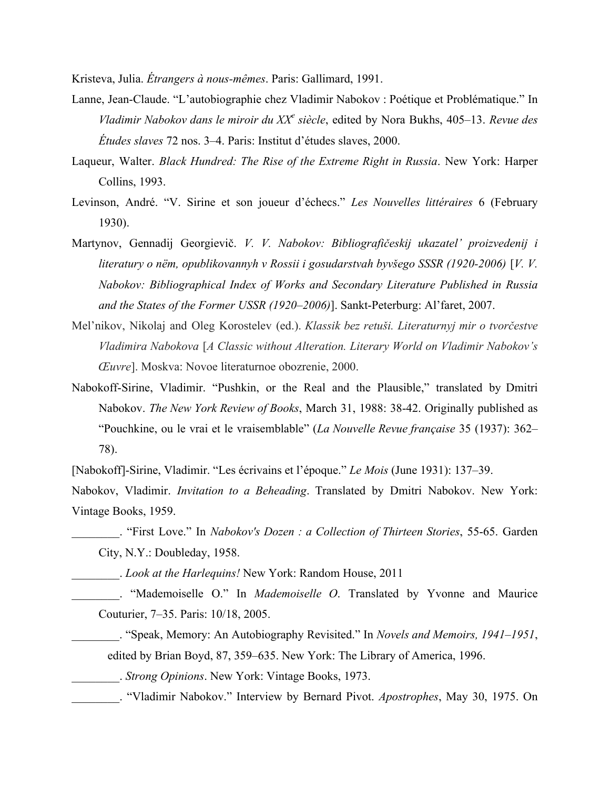Kristeva, Julia. *Étrangers à nous-mêmes*. Paris: Gallimard, 1991.

- Lanne, Jean-Claude. "L'autobiographie chez Vladimir Nabokov : Poétique et Problématique." In *Vladimir Nabokov dans le miroir du XX<sup>e</sup> siècle*, edited by Nora Bukhs, 405–13. *Revue des Études slaves* 72 nos. 3–4. Paris: Institut d'études slaves, 2000.
- Laqueur, Walter. *Black Hundred: The Rise of the Extreme Right in Russia*. New York: Harper Collins, 1993.
- Levinson, André. "V. Sirine et son joueur d'échecs." *Les Nouvelles littéraires* 6 (February 1930).
- Martynov, Gennadij Georgievič. *V. V. Nabokov: Bibliografičeskij ukazatel' proizvedenij i literatury o nëm, opublikovannyh v Rossii i gosudarstvah byvšego SSSR (1920-2006)* [*V. V. Nabokov: Bibliographical Index of Works and Secondary Literature Published in Russia and the States of the Former USSR (1920–2006)*]. Sankt-Peterburg: Al'faret, 2007.
- Mel'nikov, Nikolaj and Oleg Korostelev (ed.). *Klassik bez retuši. Literaturnyj mir o tvorčestve Vladimira Nabokova* [*A Classic without Alteration. Literary World on Vladimir Nabokov's Œuvre*]. Moskva: Novoe literaturnoe obozrenie, 2000.
- Nabokoff-Sirine, Vladimir. "Pushkin, or the Real and the Plausible," translated by Dmitri Nabokov. *The New York Review of Books*, March 31, 1988: 38-42. Originally published as "Pouchkine, ou le vrai et le vraisemblable" (*La Nouvelle Revue française* 35 (1937): 362– 78).

[Nabokoff]-Sirine, Vladimir. "Les écrivains et l'époque." *Le Mois* (June 1931): 137–39.

Nabokov, Vladimir. *Invitation to a Beheading*. Translated by Dmitri Nabokov. New York: Vintage Books, 1959.

\_\_\_\_\_\_\_\_. "First Love." In *Nabokov's Dozen : a Collection of Thirteen Stories*, 55-65. Garden City, N.Y.: Doubleday, 1958.

\_\_\_\_\_\_\_\_. *Look at the Harlequins!* New York: Random House, 2011

\_\_\_\_\_\_\_\_. "Mademoiselle O." In *Mademoiselle O*. Translated by Yvonne and Maurice Couturier, 7–35. Paris: 10/18, 2005.

\_\_\_\_\_\_\_\_. "Speak, Memory: An Autobiography Revisited." In *Novels and Memoirs, 1941–1951*, edited by Brian Boyd, 87, 359–635. New York: The Library of America, 1996.

\_\_\_\_\_\_\_\_. *Strong Opinions*. New York: Vintage Books, 1973.

\_\_\_\_\_\_\_\_. "Vladimir Nabokov." Interview by Bernard Pivot. *Apostrophes*, May 30, 1975. On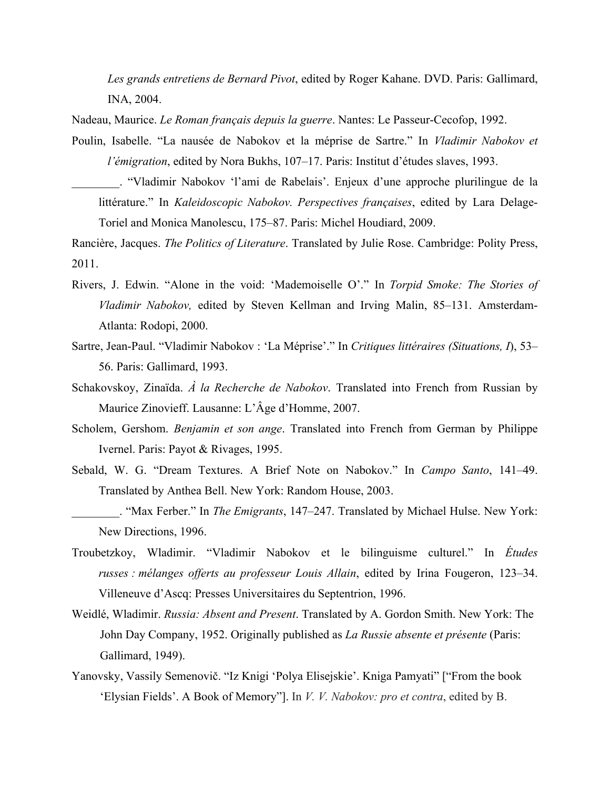*Les grands entretiens de Bernard Pivot*, edited by Roger Kahane. DVD. Paris: Gallimard, INA, 2004.

Nadeau, Maurice. *Le Roman français depuis la guerre*. Nantes: Le Passeur-Cecofop, 1992.

Poulin, Isabelle. "La nausée de Nabokov et la méprise de Sartre." In *Vladimir Nabokov et l'émigration*, edited by Nora Bukhs, 107–17. Paris: Institut d'études slaves, 1993.

\_\_\_\_\_\_\_\_. "Vladimir Nabokov 'l'ami de Rabelais'. Enjeux d'une approche plurilingue de la littérature." In *Kaleidoscopic Nabokov. Perspectives françaises*, edited by Lara Delage-Toriel and Monica Manolescu, 175–87. Paris: Michel Houdiard, 2009.

Rancière, Jacques. *The Politics of Literature*. Translated by Julie Rose. Cambridge: Polity Press, 2011.

- Rivers, J. Edwin. "Alone in the void: 'Mademoiselle O'." In *Torpid Smoke: The Stories of Vladimir Nabokov,* edited by Steven Kellman and Irving Malin, 85–131. Amsterdam-Atlanta: Rodopi, 2000.
- Sartre, Jean-Paul. "Vladimir Nabokov : 'La Méprise'." In *Critiques littéraires (Situations, I*), 53– 56. Paris: Gallimard, 1993.
- Schakovskoy, Zinaïda. *À la Recherche de Nabokov*. Translated into French from Russian by Maurice Zinovieff. Lausanne: L'Âge d'Homme, 2007.
- Scholem, Gershom. *Benjamin et son ange*. Translated into French from German by Philippe Ivernel. Paris: Payot & Rivages, 1995.
- Sebald, W. G. "Dream Textures. A Brief Note on Nabokov." In *Campo Santo*, 141–49. Translated by Anthea Bell. New York: Random House, 2003.
- \_\_\_\_\_\_\_\_. "Max Ferber." In *The Emigrants*, 147–247. Translated by Michael Hulse. New York: New Directions, 1996.
- Troubetzkoy, Wladimir. "Vladimir Nabokov et le bilinguisme culturel." In *Études russes : mélanges offerts au professeur Louis Allain*, edited by Irina Fougeron, 123–34. Villeneuve d'Ascq: Presses Universitaires du Septentrion, 1996.
- Weidlé, Wladimir. *Russia: Absent and Present*. Translated by A. Gordon Smith. New York: The John Day Company, 1952. Originally published as *La Russie absente et présente* (Paris: Gallimard, 1949).
- Yanovsky, Vassily Semenovič. "Iz Knigi 'Polya Elisejskie'. Kniga Pamyati" ["From the book 'Elysian Fields'. A Book of Memory"]. In *V. V. Nabokov: pro et contra*, edited by B.